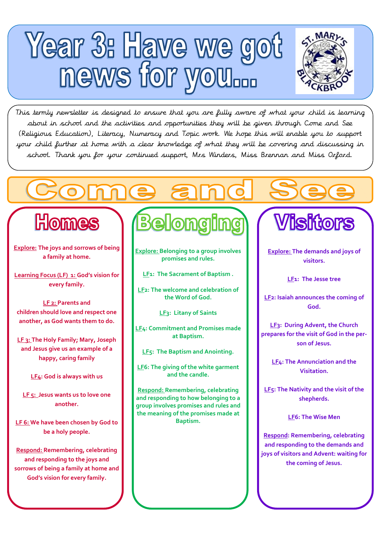



This termly newsletter is designed to ensure that you are fully aware of what your child is learning about in school and the activities and opportunities they will be given through Come and See (Religious Education), Literacy, Numeracy and Topic work. We hope this will enable you to support your child further at home with a clear knowledge of what they will be covering and discussing in school. Thank you for your continued support, Mrs Winders, Miss Brennan and Miss Orford.

### Homes

Ĺ.

**Explore: The joys and sorrows of being a family at home.**

**Learning Focus (LF) 1: God's vision for every family.** 

**LF 2: Parents and children should love and respect one another, as God wants them to do.** 

**LF 3: The Holy Family; Mary, Joseph and Jesus give us an example of a happy, caring family** 

**LF4: God is always with us** 

**LF 5: Jesus wants us to love one another.** 

**LF 6: We have been chosen by God to be a holy people.**

**Respond: Remembering, celebrating and responding to the joys and sorrows of being a family at home and God's vision for every family.**

# **Belong**

**Explore: Belonging to a group involves promises and rules.**

**LF1: The Sacrament of Baptism .** 

**LF2: The welcome and celebration of the Word of God.**

**LF3: Litany of Saints** 

**LF4: Commitment and Promises made at Baptism.** 

**LF5: The Baptism and Anointing.**

**LF6: The giving of the white garment and the candle.**

**Respond: Remembering, celebrating and responding to how belonging to a group involves promises and rules and the meaning of the promises made at Baptism.**

## **Visitors**

**Explore: The demands and joys of visitors.**

**LF1: The Jesse tree**

**LF2: Isaiah announces the coming of God.**

**LF3: During Advent, the Church prepares for the visit of God in the person of Jesus.** 

> **LF4: The Annunciation and the Visitation.**

**LF5: The Nativity and the visit of the shepherds.** 

**LF6: The Wise Men**

**Respond: Remembering, celebrating and responding to the demands and joys of visitors and Advent: waiting for the coming of Jesus.**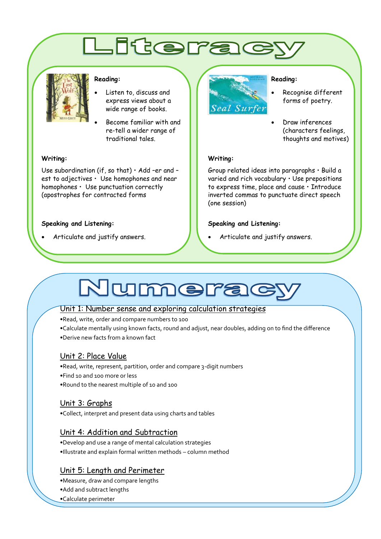### Literad



#### **Reading:**

- Listen to, discuss and express views about a wide range of books.
- Become familiar with and re-tell a wider range of traditional tales.

#### **Writing:**

Use subordination (if, so that)  $\cdot$  Add -er and est to adjectives • Use homophones and near homophones • Use punctuation correctly (apostrophes for contracted forms

#### **Speaking and Listening:**

Articulate and justify answers.



#### **Reading:**

 Recognise different forms of poetry.

 Draw inferences (characters feelings, thoughts and motives)

#### **Writing:**

Group related ideas into paragraphs • Build a varied and rich vocabulary • Use prepositions to express time, place and cause • Introduce inverted commas to punctuate direct speech (one session)

#### **Speaking and Listening:**

Articulate and justify answers.

### Numera

#### Unit 1: Number sense and exploring calculation strategies

•Read, write, order and compare numbers to 100

•Calculate mentally using known facts, round and adjust, near doubles, adding on to find the difference •Derive new facts from a known fact

### Unit 2: Place Value

•Read, write, represent, partition, order and compare 3-digit numbers •Find 10 and 100 more or less •Round to the nearest multiple of 10 and 100

### Unit 3: Graphs

•Collect, interpret and present data using charts and tables

### Unit 4: Addition and Subtraction

•Develop and use a range of mental calculation strategies •Illustrate and explain formal written methods – column method

### Unit 5: Length and Perimeter

•Measure, draw and compare lengths

•Add and subtract lengths

•Calculate perimeter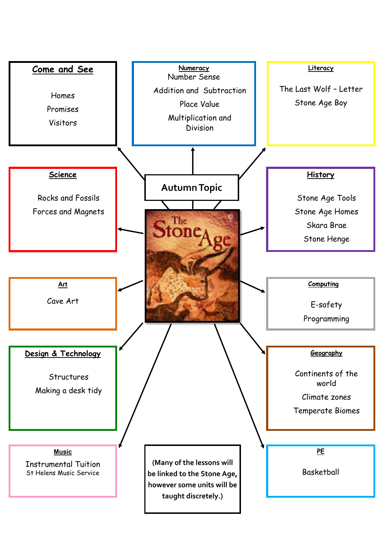